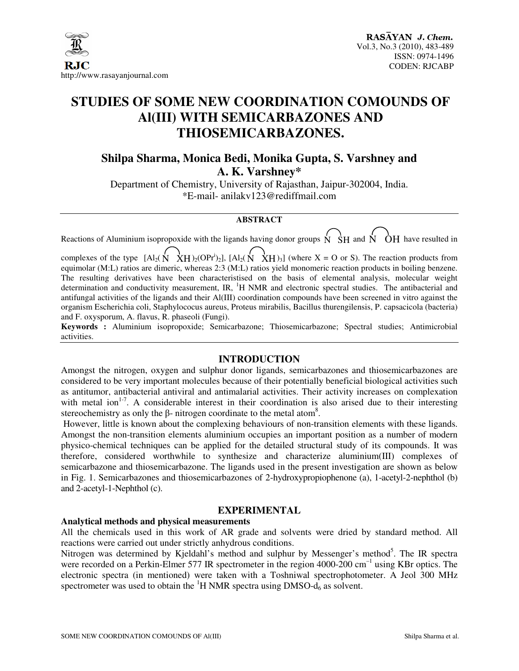

# **STUDIES OF SOME NEW COORDINATION COMOUNDS OF Al(III) WITH SEMICARBAZONES AND THIOSEMICARBAZONES.**

## **Shilpa Sharma, Monica Bedi, Monika Gupta, S. Varshney and A. K. Varshney\***

Department of Chemistry, University of Rajasthan, Jaipur-302004, India. \*E-mail- anilakv123@rediffmail.com

### **ABSTRACT**

Reactions of Aluminium isopropoxide with the ligands having donor groups  $N \times H$  and  $N \times CH$  have resulted in complexes of the type  $[A]_2(N \over XH)_2(OPr^i)_2]$ ,  $[A]_2(N \over XH)_3]$  (where  $X = O$  or S). The reaction products from equimolar (M:L) ratios are dimeric, whereas 2:3 (M:L) ratios yield monomeric reaction products in boiling benzene. The resulting derivatives have been characteristised on the basis of elemental analysis, molecular weight determination and conductivity measurement, IR,  ${}^{1}H$  NMR and electronic spectral studies. The antibacterial and antifungal activities of the ligands and their Al(III) coordination compounds have been screened in vitro against the organism Escherichia coli, Staphylococus aureus, Proteus mirabilis, Bacillus thurengilensis, P. capsacicola (bacteria) and F. oxysporum, A. flavus, R. phaseoli (Fungi).

**Keywords :** Aluminium isopropoxide; Semicarbazone; Thiosemicarbazone; Spectral studies; Antimicrobial activities.

#### **INTRODUCTION**

Amongst the nitrogen, oxygen and sulphur donor ligands, semicarbazones and thiosemicarbazones are considered to be very important molecules because of their potentially beneficial biological activities such as antitumor, antibacterial antiviral and antimalarial activities. Their activity increases on complexation with metal ion<sup>1-7</sup>. A considerable interest in their coordination is also arised due to their interesting stereochemistry as only the  $\beta$ - nitrogen coordinate to the metal atom<sup>8</sup>.

 However, little is known about the complexing behaviours of non-transition elements with these ligands. Amongst the non-transition elements aluminium occupies an important position as a number of modern physico-chemical techniques can be applied for the detailed structural study of its compounds. It was therefore, considered worthwhile to synthesize and characterize aluminium(III) complexes of semicarbazone and thiosemicarbazone. The ligands used in the present investigation are shown as below in Fig. 1. Semicarbazones and thiosemicarbazones of 2-hydroxypropiophenone (a), 1-acetyl-2-nephthol (b) and 2-acetyl-1-Nephthol (c).

### **EXPERIMENTAL**

#### **Analytical methods and physical measurements**

All the chemicals used in this work of AR grade and solvents were dried by standard method. All reactions were carried out under strictly anhydrous conditions.

Nitrogen was determined by Kjeldahl's method and sulphur by Messenger's method<sup>5</sup>. The IR spectra were recorded on a Perkin-Elmer 577 IR spectrometer in the region 4000-200 cm<sup>-1</sup> using KBr optics. The electronic spectra (in mentioned) were taken with a Toshniwal spectrophotometer. A Jeol 300 MHz spectrometer was used to obtain the  ${}^{1}H$  NMR spectra using DMSO- $d_6$  as solvent.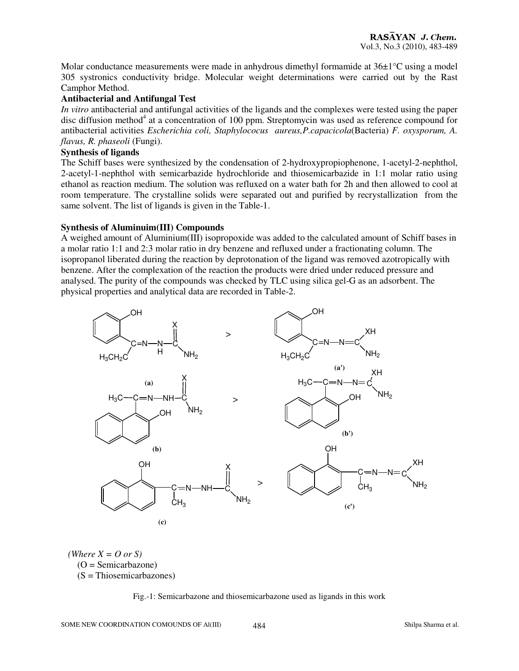Molar conductance measurements were made in anhydrous dimethyl formamide at  $36\pm1^{\circ}$ C using a model 305 systronics conductivity bridge. Molecular weight determinations were carried out by the Rast Camphor Method.

### **Antibacterial and Antifungal Test**

*In vitro* antibacterial and antifungal activities of the ligands and the complexes were tested using the paper disc diffusion method<sup>4</sup> at a concentration of 100 ppm. Streptomycin was used as reference compound for antibacterial activities *Escherichia coli, Staphylococus aureus,P.capacicola*(Bacteria) *F. oxysporum, A. flavus, R. phaseoli* (Fungi).

#### **Synthesis of ligands**

The Schiff bases were synthesized by the condensation of 2-hydroxypropiophenone, 1-acetyl-2-nephthol, 2-acetyl-1-nephthol with semicarbazide hydrochloride and thiosemicarbazide in 1:1 molar ratio using ethanol as reaction medium. The solution was refluxed on a water bath for 2h and then allowed to cool at room temperature. The crystalline solids were separated out and purified by recrystallization from the same solvent. The list of ligands is given in the Table-1.

#### **Synthesis of Aluminuim(III) Compounds**

A weighed amount of Aluminium(III) isopropoxide was added to the calculated amount of Schiff bases in a molar ratio 1:1 and 2:3 molar ratio in dry benzene and refluxed under a fractionating column. The isopropanol liberated during the reaction by deprotonation of the ligand was removed azotropically with benzene. After the complexation of the reaction the products were dried under reduced pressure and analysed. The purity of the compounds was checked by TLC using silica gel-G as an adsorbent. The physical properties and analytical data are recorded in Table-2.



 *(Where X = O or S)*   $(O = Semicarbazone)$ (S = Thiosemicarbazones)

Fig.-1: Semicarbazone and thiosemicarbazone used as ligands in this work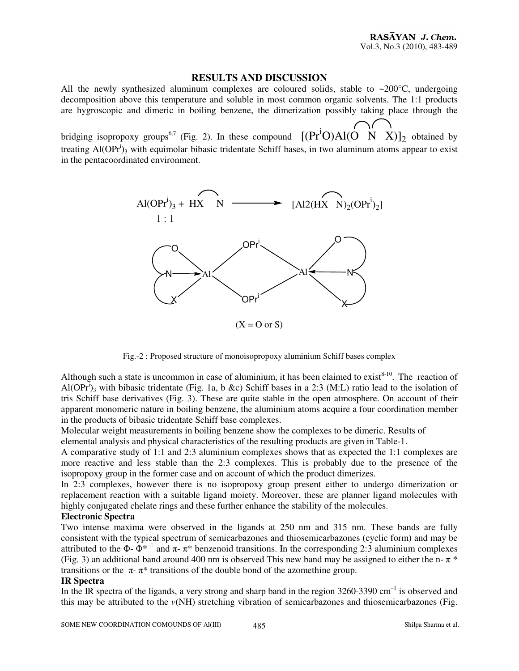#### **RESULTS AND DISCUSSION**

All the newly synthesized aluminum complexes are coloured solids, stable to  $\sim$ 200 $\degree$ C, undergoing decomposition above this temperature and soluble in most common organic solvents. The 1:1 products are hygroscopic and dimeric in boiling benzene, the dimerization possibly taking place through the

bridging isopropoxy groups<sup>6,7</sup> (Fig. 2). In these compound  $[(Pr^iO)Al(O \ N \ X)]_2$  obtained by treating  $AI(OPr<sup>i</sup>)<sub>3</sub>$  with equimolar bibasic tridentate Schiff bases, in two aluminum atoms appear to exist in the pentacoordinated environment.



 $(X = O \text{ or } S)$ 

Fig.-2 : Proposed structure of monoisopropoxy aluminium Schiff bases complex

Although such a state is uncommon in case of aluminium, it has been claimed to  $exist<sup>8-10</sup>$ . The reaction of Al(OPr<sup>i</sup>)<sub>3</sub> with bibasic tridentate (Fig. 1a, b &c) Schiff bases in a 2:3 (M:L) ratio lead to the isolation of tris Schiff base derivatives (Fig. 3). These are quite stable in the open atmosphere. On account of their apparent monomeric nature in boiling benzene, the aluminium atoms acquire a four coordination member in the products of bibasic tridentate Schiff base complexes.

Molecular weight measurements in boiling benzene show the complexes to be dimeric. Results of

elemental analysis and physical characteristics of the resulting products are given in Table-1.

A comparative study of 1:1 and 2:3 aluminium complexes shows that as expected the 1:1 complexes are more reactive and less stable than the 2:3 complexes. This is probably due to the presence of the isopropoxy group in the former case and on account of which the product dimerizes.

In 2:3 complexes, however there is no isopropoxy group present either to undergo dimerization or replacement reaction with a suitable ligand moiety. Moreover, these are planner ligand molecules with highly conjugated chelate rings and these further enhance the stability of the molecules.

### **Electronic Spectra**

Two intense maxima were observed in the ligands at 250 nm and 315 nm. These bands are fully consistent with the typical spectrum of semicarbazones and thiosemicarbazones (cyclic form) and may be attributed to the  $\Phi$ -  $\Phi^*$ <sup> $\Box$ </sup> and  $\pi$ -  $\pi^*$  benzenoid transitions. In the corresponding 2:3 aluminium complexes (Fig. 3) an additional band around 400 nm is observed This new band may be assigned to either the n- $\pi$ <sup>\*</sup> transitions or the  $\pi$ -  $\pi$ <sup>\*</sup> transitions of the double bond of the azomethine group.

#### **IR Spectra**

In the IR spectra of the ligands, a very strong and sharp band in the region  $3260-3390$  cm<sup>-1</sup> is observed and this may be attributed to the *v*(NH) stretching vibration of semicarbazones and thiosemicarbazones (Fig.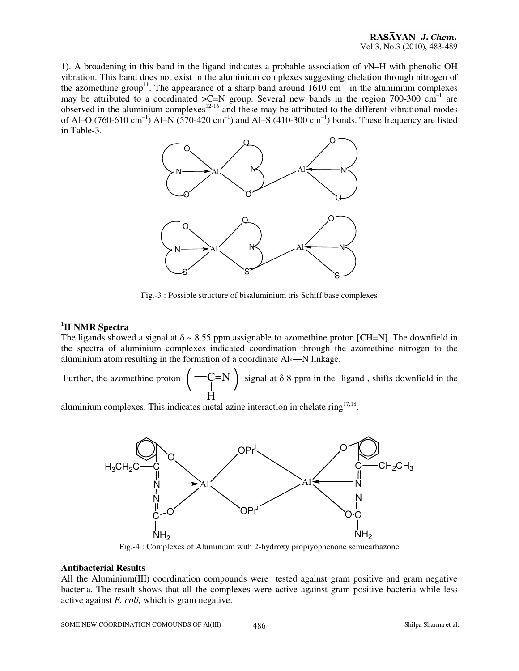1). A broadening in this band in the ligand indicates a probable association of  $vN-H$  with phenolic OH vibration. This band does not exist in the aluminium complexes suggesting chelation through nitrogen of the azomethine group<sup>11</sup>. The appearance of a sharp band around  $1610 \text{ cm}^{-1}$  in the aluminium complexes may be attributed to a coordinated  $\geq C=N$  group. Several new bands in the region 700-300 cm<sup>-1</sup> are observed in the aluminium complexes<sup>12-16</sup> and these may be attributed to the different vibrational modes of Al–O (760-610 cm<sup>-1</sup>) Al–N (570-420 cm<sup>-1</sup>) and Al–S (410-300 cm<sup>-1</sup>) bonds. These frequency are listed in Table-3.



Fig.-3 : Possible structure of bisaluminium tris Schiff base complexes

#### **<sup>1</sup>H NMR Spectra**

The ligands showed a signal at  $\delta \sim 8.55$  ppm assignable to azomethine proton [CH=N]. The downfield in the spectra of aluminium complexes indicated coordination through the azomethine nitrogen to the aluminium atom resulting in the formation of a coordinate Al‹―N linkage.

Further, the azomethine proton H  $\left( \begin{array}{c} -C=N \ -\end{array} \right)$  signal at  $\delta$  8 ppm in the ligand, shifts downfield in the

aluminium complexes. This indicates metal azine interaction in chelate ring $17,18$ .



Fig.-4 : Complexes of Aluminium with 2-hydroxy propiyophenone semicarbazone

#### **Antibacterial Results**

All the Aluminium(III) coordination compounds were tested against gram positive and gram negative bacteria. The result shows that all the complexes were active against gram positive bacteria while less active against *E. coli,* which is gram negative.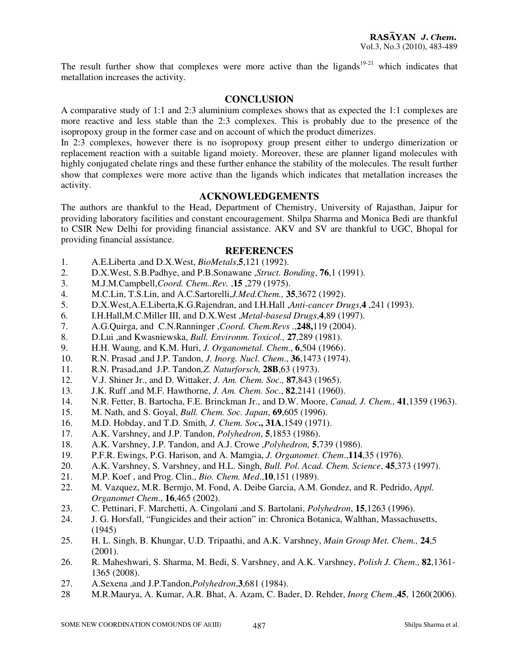The result further show that complexes were more active than the ligands<sup>19-21</sup> which indicates that metallation increases the activity.

### **CONCLUSION**

A comparative study of 1:1 and 2:3 aluminium complexes shows that as expected the 1:1 complexes are more reactive and less stable than the 2:3 complexes. This is probably due to the presence of the isopropoxy group in the former case and on account of which the product dimerizes.

In 2:3 complexes, however there is no isopropoxy group present either to undergo dimerization or replacement reaction with a suitable ligand moiety. Moreover, these are planner ligand molecules with highly conjugated chelate rings and these further enhance the stability of the molecules. The result further show that complexes were more active than the ligands which indicates that metallation increases the activity.

### **ACKNOWLEDGEMENTS**

The authors are thankful to the Head, Department of Chemistry, University of Rajasthan, Jaipur for providing laboratory facilities and constant encouragement. Shilpa Sharma and Monica Bedi are thankful to CSIR New Delhi for providing financial assistance. AKV and SV are thankful to UGC, Bhopal for providing financial assistance.

#### **REFERENCES**

- 1. A.E.Liberta ,and D.X.West, *BioMetals*,**5**,121 (1992).
- 2. D.X.West, S.B.Padhye, and P.B.Sonawane ,*Struct. Bonding*, **76**,1 (1991).
- 3. M.J.M.Campbell,*Coord. Chem..Rev.* ,**15** ,279 (1975).
- 4. M.C.Lin, T.S.Lin, and A.C.Sartorelli,*J.Med.Chem.,* **35**,3672 (1992).
- 5. D.X.West,A.E.Liberta,K.G.Rajendran, and I.H.Hall ,*Anti-cancer Drugs*,**4** ,241 (1993).
- 6. I.H.Hall,M.C.Miller III, and D.X.West ,*Metal-basesd Drugs*,**4**,89 (1997).
- 7. A.G.Quirga, and C.N.Ranninger ,*Coord. Chem.Revs* .,**248,**119 (2004).
- 8. D.Lui ,and Kwasniewska, *Bull. Environm. Toxicol.,* **27**,289 (1981).
- 9. H.H. Waung, and K.M. Huri, *J. Organometal. Chem*., **6**,504 (1966).
- 10. R.N. Prasad ,and J.P. Tandon, *J. Inorg. Nucl. Chem*., **36**,1473 (1974).
- 11. R.N. Prasad,and J.P. Tandon*,Z. Naturforsch,* **28B**,63 (1973).
- 12. V.J. Shiner Jr., and D. Wittaker, *J. Am. Chem. Soc.,* **87**,843 (1965).
- 13. J.K. Ruff ,and M.F. Hawthorne, *J. Am. Chem. Soc*., **82**,2141 (1960).
- 14. N.R. Fetter, B. Bartocha, F.E. Brinckman Jr., and D.W. Moore, *Canad, J. Chem.,* **41**,1359 (1963).
- 15. M. Nath, and S. Goyal, *Bull. Chem. Soc. Japan*, **69**,605 (1996).
- 16. M.D. Hobday, and T.D. Smith*, J. Chem. Soc***., 31A**,1549 (1971).
- 17. A.K. Varshney, and J.P. Tandon, *Polyhedron*, **5**,1853 (1986).
- 18. A.K. Varshney, J.P. Tandon, and A.J. Crowe ,*Polyhedron,* **5**,739 (1986).
- 19. P.F.R. Ewings, P.G. Harison, and A. Mamgia, *J. Organomet. Chem*.,**114**,35 (1976).
- 20. A.K. Varshney, S. Varshney, and H.L. Singh, *Bull. Pol. Acad. Chem. Science*, **45**,373 (1997).
- 21. M.P. Koef , and Prog. Clin., *Bio. Chem. Med*.,**10**,151 (1989).
- 22. M. Vazquez, M.R. Bermjo, M. Fond, A. Deibe Garcia, A.M. Gondez, and R. Pedrido, *Appl. Organomet Chem*., **16**,465 (2002).
- 23. C. Pettinari, F. Marchetti, A. Cingolani ,and S. Bartolani, *Polyhedron*, **15**,1263 (1996).
- 24. J. G. Horsfall, "Fungicides and their action" in: Chronica Botanica, Walthan, Massachusetts, (1945)
- 25. H. L. Singh, B. Khungar, U.D. Tripaathi, and A.K. Varshney, *Main Group Met. Chem.,* **24**,5 (2001).
- 26. R. Maheshwari, S. Sharma, M. Bedi, S. Varshney, and A.K. Varshney, *Polish J. Chem*., **82**,1361- 1365 (2008).
- 27. A.Sexena ,and J.P.Tandon,*Polyhedron*,**3**,681 (1984).
- 28 M.R.Maurya, A. Kumar, A.R. Bhat, A. Azam, C. Bader, D. Rehder, *Inorg Chem*.,**45**, 1260(2006).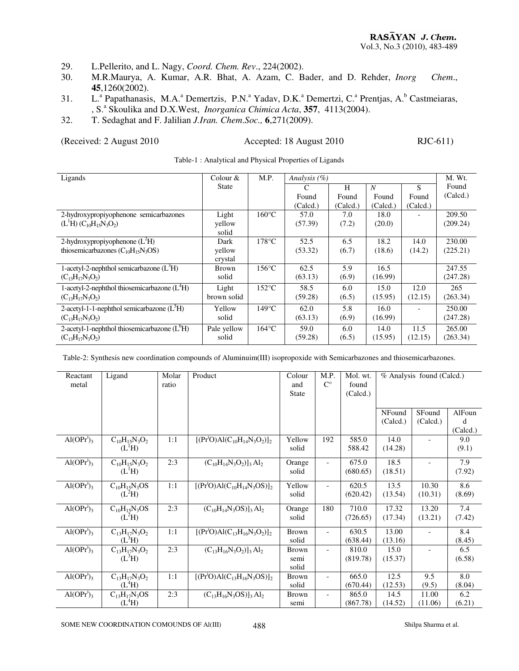- 29. L.Pellerito, and L. Nagy, *Coord. Chem. Rev*., 224(2002).
- 30. M.R.Maurya, A. Kumar, A.R. Bhat, A. Azam, C. Bader, and D. Rehder, *Inorg Chem*., **45**,1260(2002).
- 31. L.ª Papathanasis, M.A.ª Demertzis, P.N.ª Yadav, D.K.ª Demertzi, C.ª Prentjas, A.<sup>b</sup> Castmeiaras, , S.<sup>a</sup> Skoulika and D.X.West, *Inorganica Chimica Acta*, 357, 4113(2004).
- 32. T. Sedaghat and F. Jalilian *J.Iran. Chem*.*Soc.,* **6**,271(2009).

#### (Received: 2 August 2010 Accepted: 18 August 2010 RJC-611)

| Ligands                                       | Colour $&$   | M.P.            | Analysis $(\%)$ |          |                |          | M. Wt.   |
|-----------------------------------------------|--------------|-----------------|-----------------|----------|----------------|----------|----------|
|                                               | <b>State</b> |                 | C               | H        | $\overline{N}$ | S        | Found    |
|                                               |              |                 | Found           | Found    | Found          | Found    | (Calcd.) |
|                                               |              |                 | (Calcd.)        | (Calcd.) | (Calcd.)       | (Caled.) |          |
| 2-hydroxypropiyophenone semicarbazones        | Light        | $160^{\circ}$ C | 57.0            | 7.0      | 18.0           |          | 209.50   |
| $(L1H) (C10H15N3O2)$                          | yellow       |                 | (57.39)         | (7.2)    | (20.0)         |          | (209.24) |
|                                               | solid        |                 |                 |          |                |          |          |
| 2-hydroxypropiyophenone $(L2H)$               | Dark         | $178^{\circ}$ C | 52.5            | 6.5      | 18.2           | 14.0     | 230.00   |
| thiosemicarbazones $(C_{10}H_{15}N_3OS)$      | yellow       |                 | (53.32)         | (6.7)    | (18.6)         | (14.2)   | (225.21) |
|                                               | crystal      |                 |                 |          |                |          |          |
| 1-acetyl-2-nephthol semicarbazone $(L^3H)$    | Brown        | $156^{\circ}$ C | 62.5            | 5.9      | 16.5           |          | 247.55   |
| $(C_{13}H_{17}N_3O_2)$                        | solid        |                 | (63.13)         | (6.9)    | (16.99)        |          | (247.28) |
| 1-acetyl-2-nephthol thiosemicarbazone $(L4H)$ | Light        | $152^{\circ}$ C | 58.5            | 6.0      | 15.0           | 12.0     | 265      |
| $(C_{13}H_{17}N_3O_2)$                        | brown solid  |                 | (59.28)         | (6.5)    | (15.95)        | (12.15)  | (263.34) |
| 2-acetyl-1-1-nephthol semicarbazone $(L5H)$   | Yellow       | $149^{\circ}$ C | 62.0            | 5.8      | 16.0           |          | 250.00   |
| $(C_{13}H_{17}N_3O_2)$                        | solid        |                 | (63.13)         | (6.9)    | (16.99)        |          | (247.28) |
| 2-acetyl-1-nephthol thiosemicarbazone $(L6H)$ | Pale yellow  | $164^{\circ}$ C | 59.0            | 6.0      | 14.0           | 11.5     | 265.00   |
| $(C_{13}H_{17}N_3O_2)$                        | solid        |                 | (59.28)         | (6.5)    | (15.95)        | (12.15)  | (263.34) |

Table-1 : Analytical and Physical Properties of Ligands

Table-2: Synthesis new coordination compounds of Aluminuim(III) isopropoxide with Semicarbazones and thiosemicarbazones.

| Reactant<br>metal                  | Ligand                                     | Molar<br>ratio | Product                                               | Colour<br>and<br><b>State</b> | M.P.<br>$C^{\circ}$      | Mol. wt.<br>found<br>(Caled.) | % Analysis found (Calcd.) |                          |                         |
|------------------------------------|--------------------------------------------|----------------|-------------------------------------------------------|-------------------------------|--------------------------|-------------------------------|---------------------------|--------------------------|-------------------------|
|                                    |                                            |                |                                                       |                               |                          |                               | NFound<br>(Caled.)        | SFound<br>(Calcd.)       | AlFoun<br>d<br>(Calcd.) |
| Al(OPr <sup>1</sup> ) <sub>3</sub> | $C_{10}H_{15}N_3O_2$<br>(L <sup>1</sup> H) | 1:1            | $[(PriO)Al(C10H14N3O2)]2$                             | Yellow<br>solid               | 192                      | 585.0<br>588.42               | 14.0<br>(14.28)           |                          | 9.0<br>(9.1)            |
| Al(OPr <sup>i</sup> ) <sub>3</sub> | $C_{10}H_{15}N_3O_2$<br>$(L^1H)$           | 2:3            | $(C_{10}H_{14}N_3O_2)$ ] <sub>3</sub> Al <sub>2</sub> | Orange<br>solid               | $\overline{\phantom{a}}$ | 675.0<br>(680.65)             | 18.5<br>(18.51)           | $\overline{\phantom{a}}$ | 7.9<br>(7.92)           |
| Al(OPr <sup>i</sup> ) <sub>3</sub> | $C_{10}H_{15}N_3OS$<br>$(L^2H)$            | 1:1            | $[(Pr1O)Al(C10H14N3OS)]2$                             | Yellow<br>solid               | $\overline{\phantom{a}}$ | 620.5<br>(620.42)             | 13.5<br>(13.54)           | 10.30<br>(10.31)         | 8.6<br>(8.69)           |
| Al(OPr <sup>1</sup> ) <sub>3</sub> | $C_{10}H_{15}N_3OS$<br>$(L^2H)$            | 2:3            | $(C_{10}H_{14}N_3OS)]_3 Al_2$                         | Orange<br>solid               | 180                      | 710.0<br>(726.65)             | 17.32<br>(17.34)          | 13.20<br>(13.21)         | 7.4<br>(7.42)           |
| Al(OPr <sup>i</sup> ) <sub>3</sub> | $C_{13}H_{17}N_3O_2$<br>$(L^3H)$           | 1:1            | $[(Pr1O)Al(C13H16N3O2)]2$                             | <b>Brown</b><br>solid         |                          | 630.5<br>(638.44)             | 13.00<br>(13.16)          |                          | 8.4<br>(8.45)           |
| Al(OPr <sup>1</sup> ) <sub>3</sub> | $C_{13}H_{17}N_3O_2$<br>$(L^3H)$           | 2:3            | $(C_{13}H_{16}N_3O_2)]_3 Al_2$                        | <b>Brown</b><br>semi<br>solid | $\overline{\phantom{a}}$ | 810.0<br>(819.78)             | 15.0<br>(15.37)           | $\overline{\phantom{a}}$ | 6.5<br>(6.58)           |
| Al(OPr <sup>1</sup> ) <sub>3</sub> | $C_{13}H_{17}N_3O_2$<br>$(L^4H)$           | 1:1            | $[(Pr1O)Al(C13H16N3OS)]2$                             | <b>Brown</b><br>solid         | $\overline{\phantom{a}}$ | 665.0<br>(670.44)             | 12.5<br>(12.53)           | 9.5<br>(9.5)             | 8.0<br>(8.04)           |
| Al(OPr <sup>i</sup> ) <sub>3</sub> | $C_{13}H_{17}N_3OS$<br>$(L^4H)$            | 2:3            | $(C_{13}H_{16}N_3OS)]_3 Al_2$                         | Brown<br>semi                 | $\overline{\phantom{a}}$ | 865.0<br>(867.78)             | 14.5<br>(14.52)           | 11.00<br>(11.06)         | 6.2<br>(6.21)           |